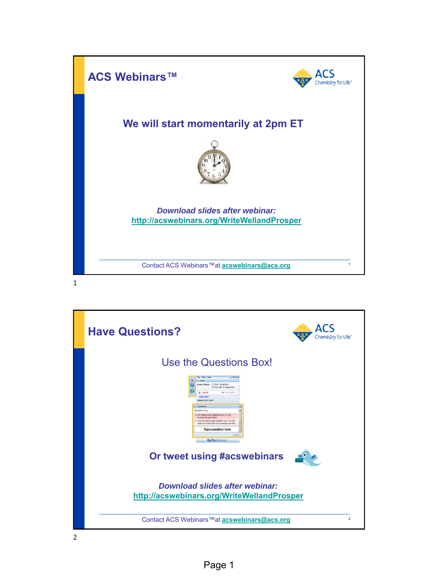

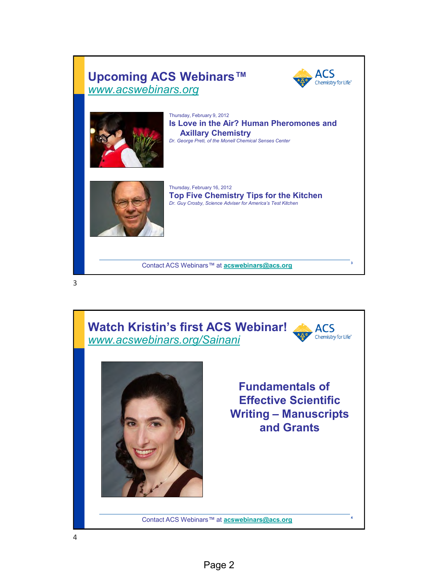#### ACS **Upcoming ACS Webinars™** Chemistry for Life® *[www.acswebinars.org](http://www.acswebinars.org/)* Thursday, February 9, 2012 **Is Love in the Air? Human Pheromones and Axillary Chemistry** *Dr. George Preti, of the Monell Chemical Senses Center* Thursday, February 16, 2012 **Top Five Chemistry Tips for the Kitchen** *Dr. Guy Crosby, Science Adviser for America's Test Kitchen*

**<sup>3</sup>** Contact ACS Webinars™ at **[acswebinars@acs.org](mailto:acswebinars@acs.org)**

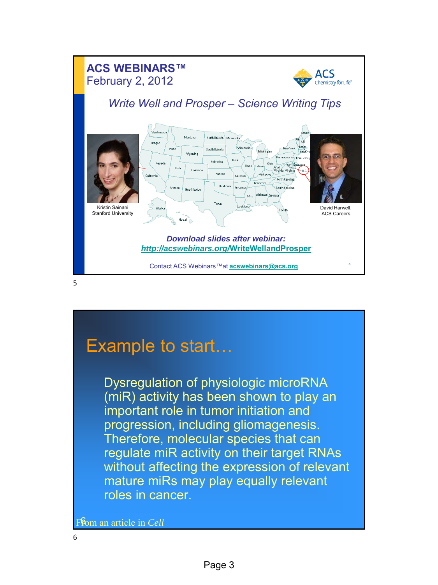

# Example to start…

Dysregulation of physiologic microRNA (miR) activity has been shown to play an important role in tumor initiation and progression, including gliomagenesis. Therefore, molecular species that can regulate miR activity on their target RNAs without affecting the expression of relevant mature miRs may play equally relevant roles in cancer.

From an article in Cell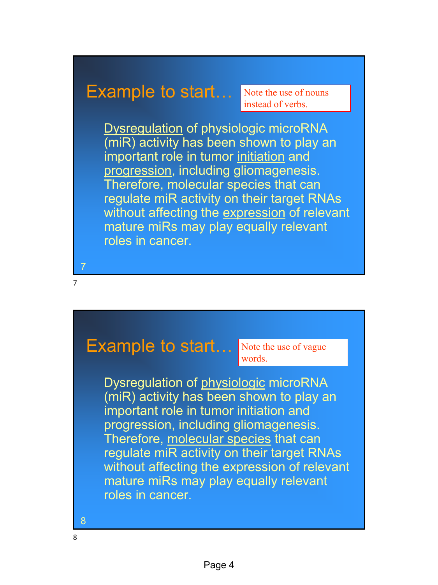# Example to start…

Note the use of nouns instead of verbs.

Dysregulation of physiologic microRNA (miR) activity has been shown to play an important role in tumor initiation and progression, including gliomagenesis. Therefore, molecular species that can regulate miR activity on their target RNAs without affecting the expression of relevant mature miRs may play equally relevant roles in cancer.

Example to start... Note the use of vague

words.

Dysregulation of physiologic microRNA (miR) activity has been shown to play an important role in tumor initiation and progression, including gliomagenesis. Therefore, molecular species that can regulate miR activity on their target RNAs without affecting the expression of relevant mature miRs may play equally relevant roles in cancer.

8

7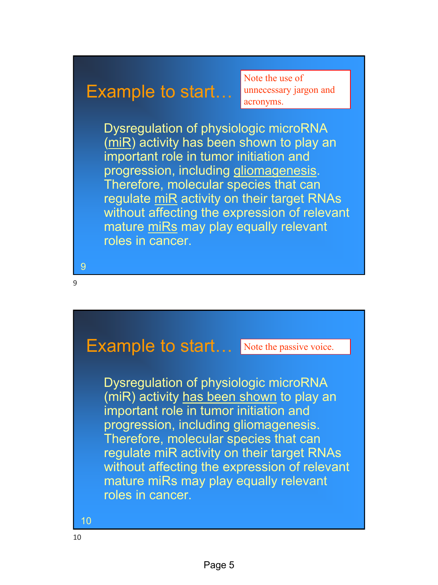#### Example to start…

Note the use of unnecessary jargon and acronyms.

Dysregulation of physiologic microRNA (miR) activity has been shown to play an important role in tumor initiation and progression, including gliomagenesis. Therefore, molecular species that can regulate miR activity on their target RNAs without affecting the expression of relevant mature miRs may play equally relevant roles in cancer.

9

9

## Example to start... Note the passive voice.

Dysregulation of physiologic microRNA (miR) activity has been shown to play an important role in tumor initiation and progression, including gliomagenesis. Therefore, molecular species that can regulate miR activity on their target RNAs without affecting the expression of relevant mature miRs may play equally relevant roles in cancer.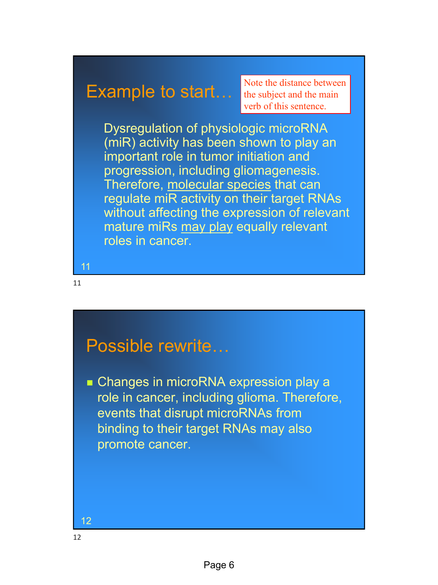### Example to start…

Note the distance between the subject and the main verb of this sentence.

Dysregulation of physiologic microRNA (miR) activity has been shown to play an important role in tumor initiation and progression, including gliomagenesis. Therefore, molecular species that can regulate miR activity on their target RNAs without affecting the expression of relevant mature miRs may play equally relevant roles in cancer.

11

11

## Possible rewrite…

■ Changes in microRNA expression play a role in cancer, including glioma. Therefore, events that disrupt microRNAs from binding to their target RNAs may also promote cancer.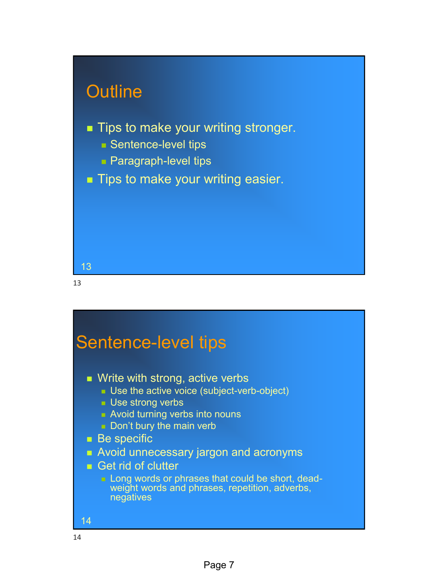

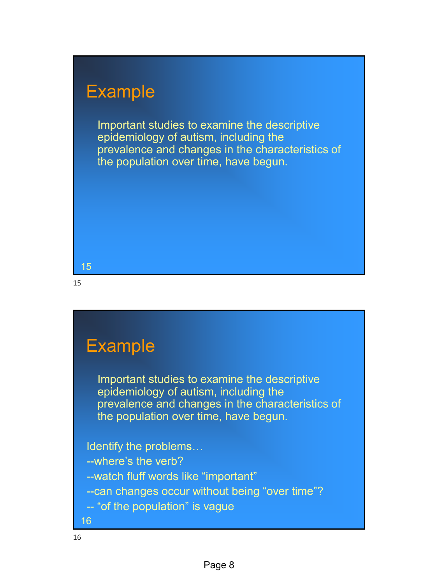# Example

Important studies to examine the descriptive epidemiology of autism, including the prevalence and changes in the characteristics of the population over time, have begun.

#### 15

15

# Example

Important studies to examine the descriptive epidemiology of autism, including the prevalence and changes in the characteristics of the population over time, have begun.

Identify the problems… --where's the verb? --watch fluff words like "important" --can changes occur without being "over time"? -- "of the population" is vague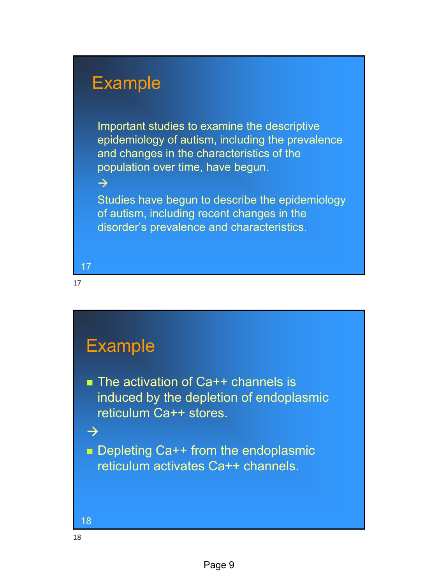#### Example

Important studies to examine the descriptive epidemiology of autism, including the prevalence and changes in the characteristics of the population over time, have begun.

Studies have begun to describe the epidemiology of autism, including recent changes in the disorder's prevalence and characteristics.

17

 $\rightarrow$ 

17

# **Example**

■ The activation of Ca++ channels is induced by the depletion of endoplasmic reticulum Ca++ stores.

■ Depleting Ca++ from the endoplasmic reticulum activates Ca++ channels.



 $\rightarrow$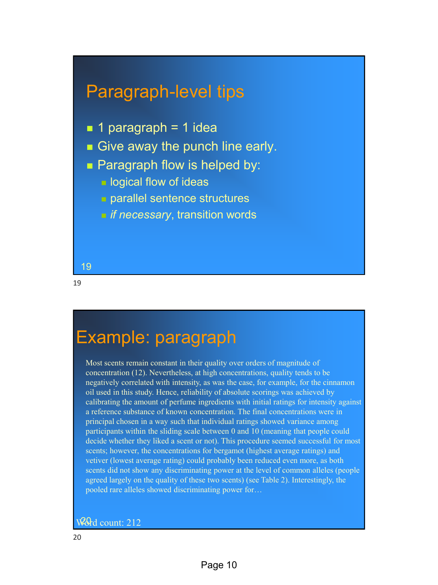## Paragraph-level tips

- $\blacksquare$  1 paragraph = 1 idea
- Give away the punch line early.
- Paragraph flow is helped by:
	- $\blacksquare$  logical flow of ideas
	- **<u>■ parallel sentence structures</u>**
	- *if necessary*, transition words

19

19

# Example: paragraph

Most scents remain constant in their quality over orders of magnitude of concentration (12). Nevertheless, at high concentrations, quality tends to be negatively correlated with intensity, as was the case, for example, for the cinnamon oil used in this study. Hence, reliability of absolute scorings was achieved by calibrating the amount of perfume ingredients with initial ratings for intensity against a reference substance of known concentration. The final concentrations were in principal chosen in a way such that individual ratings showed variance among participants within the sliding scale between 0 and 10 (meaning that people could decide whether they liked a scent or not). This procedure seemed successful for most scents; however, the concentrations for bergamot (highest average ratings) and vetiver (lowest average rating) could probably been reduced even more, as both scents did not show any discriminating power at the level of common alleles (people agreed largely on the quality of these two scents) (see Table 2). Interestingly, the pooled rare alleles showed discriminating power for…

#### $W_0$ d count: 212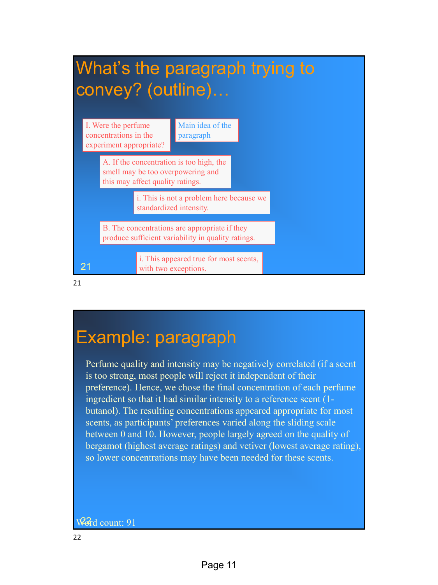

# Example: paragraph

Perfume quality and intensity may be negatively correlated (if a scent is too strong, most people will reject it independent of their preference). Hence, we chose the final concentration of each perfume ingredient so that it had similar intensity to a reference scent (1 butanol). The resulting concentrations appeared appropriate for most scents, as participants' preferences varied along the sliding scale between 0 and 10. However, people largely agreed on the quality of bergamot (highest average ratings) and vetiver (lowest average rating), so lower concentrations may have been needed for these scents.

#### Ward count: 91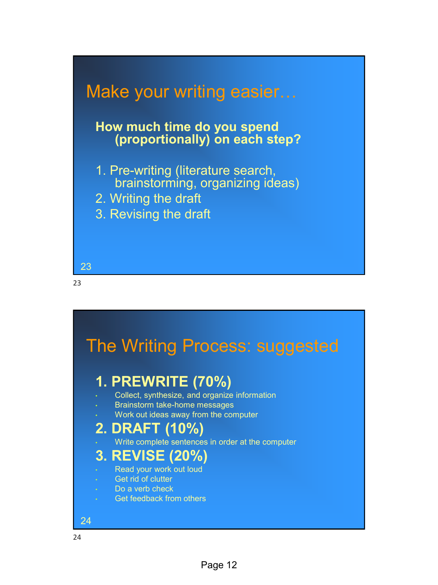

#### **How much time do you spend (proportionally) on each step?**

- 1. Pre-writing (literature search, brainstorming, organizing ideas)
- 2. Writing the draft
- 3. Revising the draft



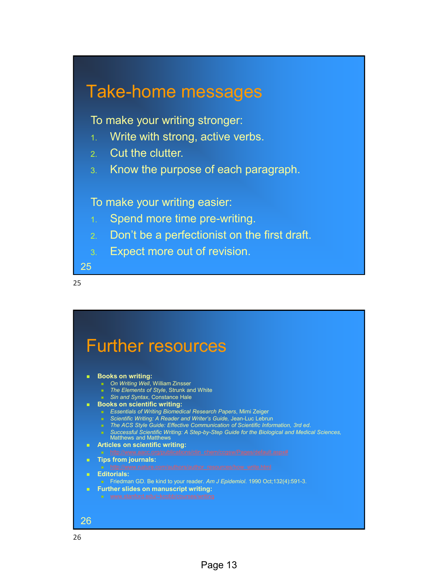## Take-home messages

To make your writing stronger:

- 1. Write with strong, active verbs.
- 2. Cut the clutter.
- 3. Know the purpose of each paragraph.

To make your writing easier:

- 1. Spend more time pre-writing.
- 2. Don't be a perfectionist on the first draft.
- 3. Expect more out of revision.

25

25

Further resources ■ **Books on writing:** ■ On Writing Well, William Zinsser <sup>◼</sup> *The Elements of Style*, Strunk and White ■ Sin and Syntax, Constance Hale **Books on scientific writing:** <sup>◼</sup> *Essentials of Writing Biomedical Research Papers*, Mimi Zeiger ■ Scientific Writing: A Reader and Writer's Guide, Jean-Luc Lebrun ■ The ACS Style Guide: Effective Communication of Scientific Information, 3rd ed. <sup>◼</sup> *Successful Scientific Writing: A Step-by-Step Guide for the Biological and Medical Sciences,*  Matthews and Matthews ◼ **Articles on scientific writing:** ◼ **Tips from journals:** ◼ **Editorials:** <sup>◼</sup> Friedman GD. Be kind to your reader. *Am J Epidemiol*. 1990 Oct;132(4):591-3. ■ **Further slides on manuscript writing:** 26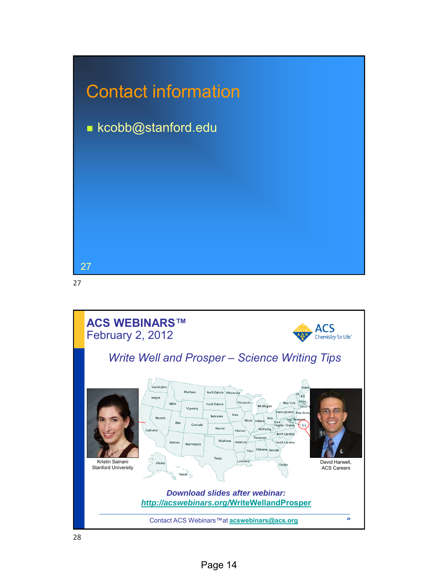

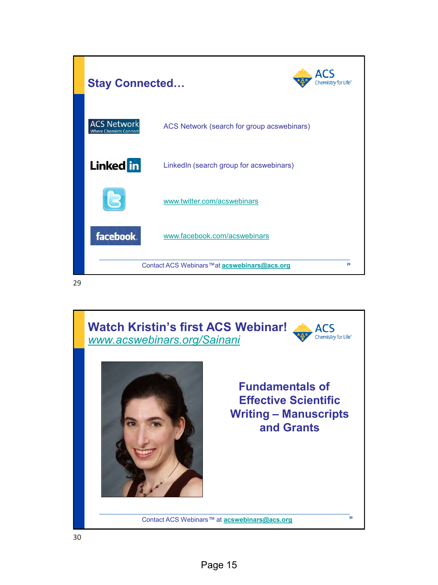